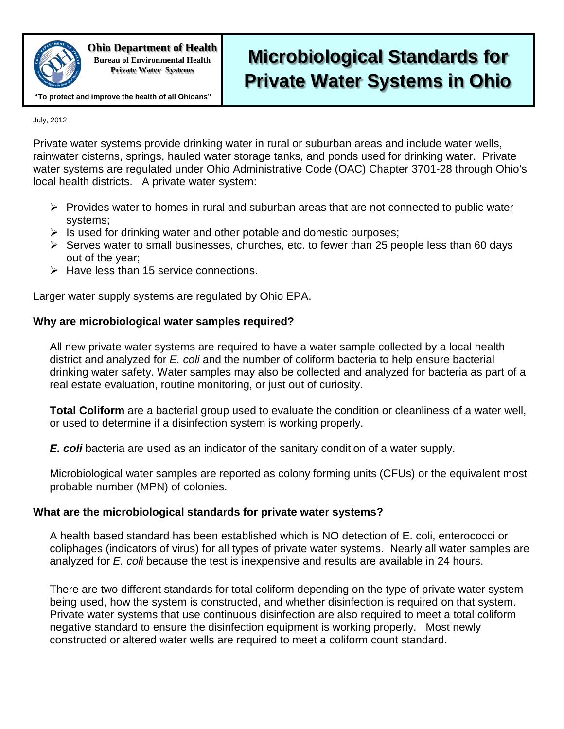

**Ohio Department of Health Bureau of Environmental Health**

## **Private Water Systems**

# **Microbiological Standards for Private Water Systems in Ohio**

**"To protect and improve the health of all Ohioans"**

July, 2012

Private water systems provide drinking water in rural or suburban areas and include water wells, rainwater cisterns, springs, hauled water storage tanks, and ponds used for drinking water. Private water systems are regulated under Ohio Administrative Code (OAC) Chapter 3701-28 through Ohio's local health districts. A private water system:

- $\triangleright$  Provides water to homes in rural and suburban areas that are not connected to public water systems;
- $\triangleright$  Is used for drinking water and other potable and domestic purposes;
- $\triangleright$  Serves water to small businesses, churches, etc. to fewer than 25 people less than 60 days out of the year;
- $\triangleright$  Have less than 15 service connections.

Larger water supply systems are regulated by Ohio EPA.

### **Why are microbiological water samples required?**

All new private water systems are required to have a water sample collected by a local health district and analyzed for *E. coli* and the number of coliform bacteria to help ensure bacterial drinking water safety. Water samples may also be collected and analyzed for bacteria as part of a real estate evaluation, routine monitoring, or just out of curiosity.

**Total Coliform** are a bacterial group used to evaluate the condition or cleanliness of a water well, or used to determine if a disinfection system is working properly.

*E. coli* bacteria are used as an indicator of the sanitary condition of a water supply.

Microbiological water samples are reported as colony forming units (CFUs) or the equivalent most probable number (MPN) of colonies.

#### **What are the microbiological standards for private water systems?**

A health based standard has been established which is NO detection of E. coli, enterococci or coliphages (indicators of virus) for all types of private water systems. Nearly all water samples are analyzed for *E. coli* because the test is inexpensive and results are available in 24 hours.

There are two different standards for total coliform depending on the type of private water system being used, how the system is constructed, and whether disinfection is required on that system. Private water systems that use continuous disinfection are also required to meet a total coliform negative standard to ensure the disinfection equipment is working properly. Most newly constructed or altered water wells are required to meet a coliform count standard.